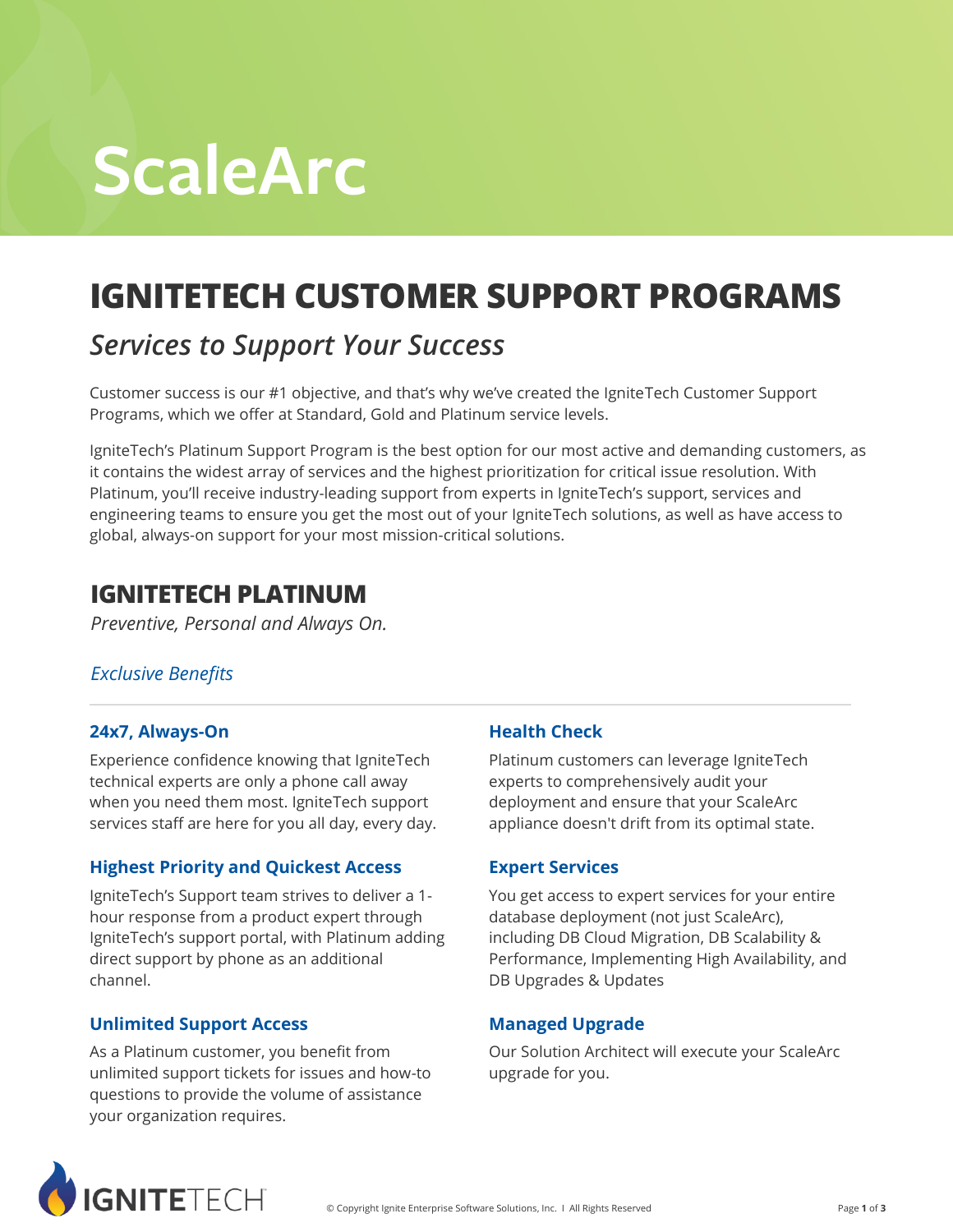# **ScaleArc**

# **IGNITETECH CUSTOMER SUPPORT PROGRAMS**

### *Services to Support Your Success*

Customer success is our #1 objective, and that's why we've created the IgniteTech Customer Support Programs, which we offer at Standard, Gold and Platinum service levels.

IgniteTech's Platinum Support Program is the best option for our most active and demanding customers, as it contains the widest array of services and the highest prioritization for critical issue resolution. With Platinum, you'll receive industry-leading support from experts in IgniteTech's support, services and engineering teams to ensure you get the most out of your IgniteTech solutions, as well as have access to global, always-on support for your most mission-critical solutions.

### **IGNITETECH PLATINUM**

*Preventive, Personal and Always On.*

#### *Exclusive Benefits*

#### **24x7, Always-On**

Experience confidence knowing that IgniteTech technical experts are only a phone call away when you need them most. IgniteTech support services staff are here for you all day, every day.

#### **Highest Priority and Quickest Access**

IgniteTech's Support team strives to deliver a 1 hour response from a product expert through IgniteTech's support portal, with Platinum adding direct support by phone as an additional channel.

#### **Unlimited Support Access**

As a Platinum customer, you benefit from unlimited support tickets for issues and how-to questions to provide the volume of assistance your organization requires.

#### **Health Check**

Platinum customers can leverage IgniteTech experts to comprehensively audit your deployment and ensure that your ScaleArc appliance doesn't drift from its optimal state.

#### **Expert Services**

You get access to expert services for your entire database deployment (not just ScaleArc), including DB Cloud Migration, DB Scalability & Performance, Implementing High Availability, and DB Upgrades & Updates

#### **Managed Upgrade**

Our Solution Architect will execute your ScaleArc upgrade for you.

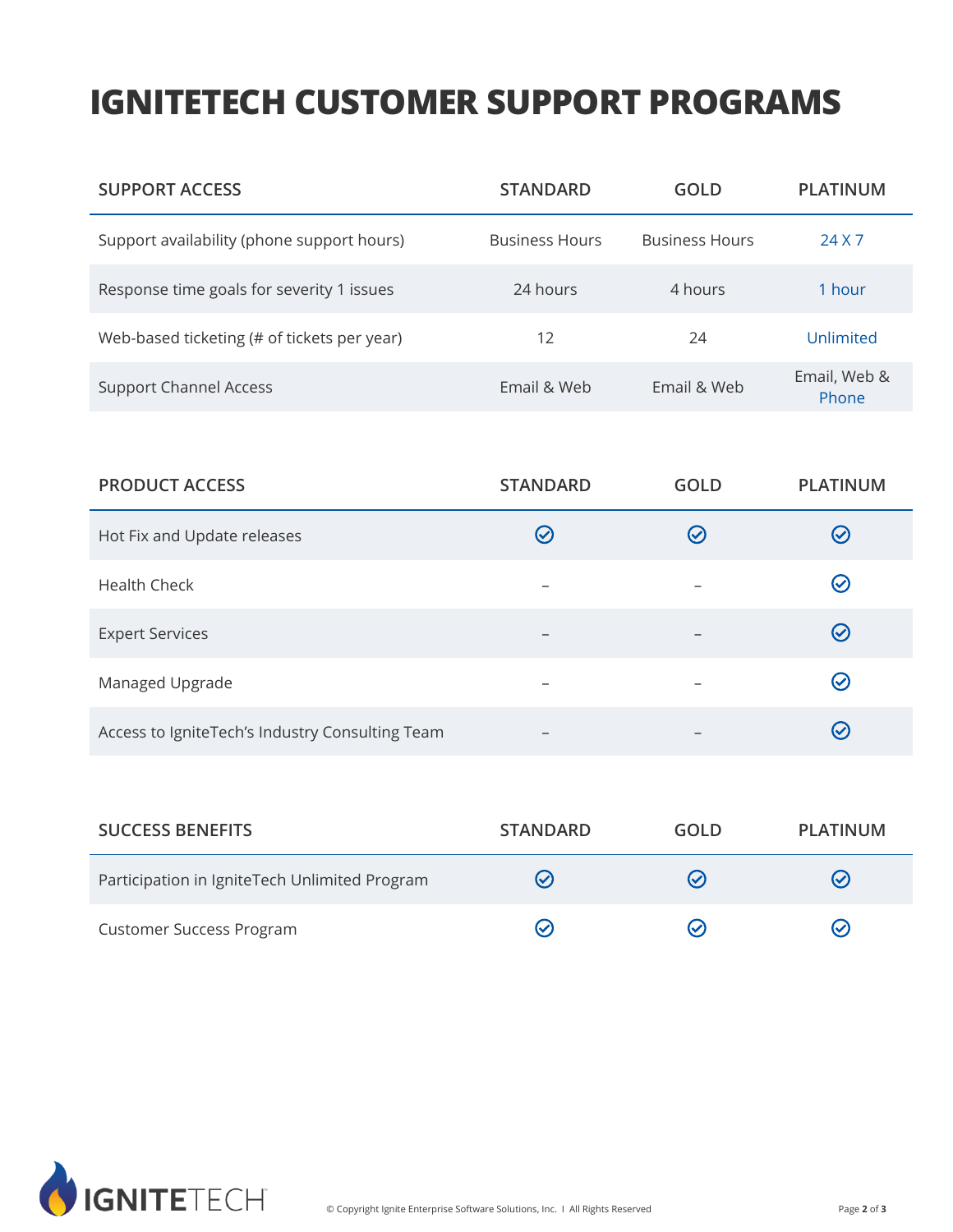## **IGNITETECH CUSTOMER SUPPORT PROGRAMS**

| <b>SUPPORT ACCESS</b>                       | <b>STANDARD</b>        | GOLD                  | <b>PLATINUM</b>       |
|---------------------------------------------|------------------------|-----------------------|-----------------------|
| Support availability (phone support hours)  | <b>Business Hours</b>  | <b>Business Hours</b> | 24 X 7                |
| Response time goals for severity 1 issues   | 24 hours               | 4 hours               | 1 hour                |
| Web-based ticketing (# of tickets per year) | 12                     | 24                    | Unlimited             |
| <b>Support Channel Access</b>               | <b>Fmail &amp; Web</b> | Email & Web           | Email, Web &<br>Phone |

| <b>PRODUCT ACCESS</b>                           | <b>STANDARD</b>          | <b>GOLD</b>   | <b>PLATINUM</b>    |
|-------------------------------------------------|--------------------------|---------------|--------------------|
| Hot Fix and Update releases                     | $\mathcal{L}$            | $\mathcal{C}$ | $(\checkmark)$     |
| <b>Health Check</b>                             |                          |               | $\bm{\varnothing}$ |
| <b>Expert Services</b>                          | $\overline{\phantom{0}}$ |               | $\bigcirc$         |
| Managed Upgrade                                 |                          |               | $\bm{\omega}$      |
| Access to IgniteTech's Industry Consulting Team |                          |               | $(\checkmark)$     |

| <b>SUCCESS BENEFITS</b>                       | <b>STANDARD</b> | GOLD                     | PLATINUM       |
|-----------------------------------------------|-----------------|--------------------------|----------------|
| Participation in IgniteTech Unlimited Program | $(\checkmark)$  | $\overline{\mathcal{S}}$ | $(\checkmark)$ |
| <b>Customer Success Program</b>               |                 | ∾                        | $(\checkmark)$ |